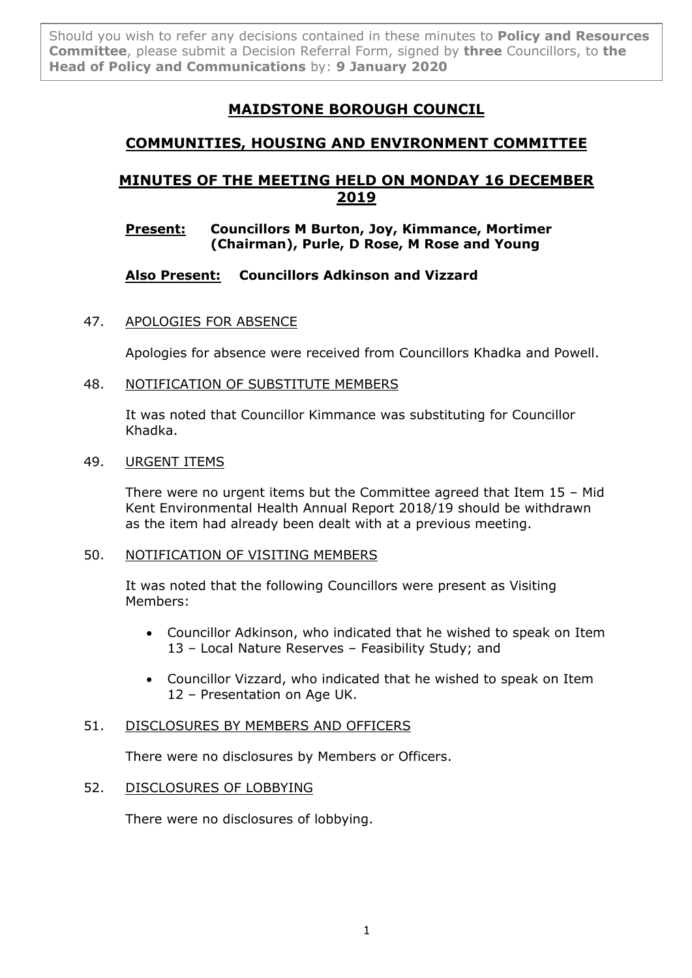Should you wish to refer any decisions contained in these minutes to **Policy and Resources Committee**, please submit a Decision Referral Form, signed by **three** Councillors, to **the Head of Policy and Communications** by: **9 January 2020**

# **MAIDSTONE BOROUGH COUNCIL**

# **COMMUNITIES, HOUSING AND ENVIRONMENT COMMITTEE**

# **MINUTES OF THE MEETING HELD ON MONDAY 16 DECEMBER 2019**

# **Present: Councillors M Burton, Joy, Kimmance, Mortimer (Chairman), Purle, D Rose, M Rose and Young**

# **Also Present: Councillors Adkinson and Vizzard**

# 47. APOLOGIES FOR ABSENCE

Apologies for absence were received from Councillors Khadka and Powell.

# 48. NOTIFICATION OF SUBSTITUTE MEMBERS

It was noted that Councillor Kimmance was substituting for Councillor Khadka.

## 49. URGENT ITEMS

There were no urgent items but the Committee agreed that Item 15 – Mid Kent Environmental Health Annual Report 2018/19 should be withdrawn as the item had already been dealt with at a previous meeting.

# 50. NOTIFICATION OF VISITING MEMBERS

It was noted that the following Councillors were present as Visiting Members:

- Councillor Adkinson, who indicated that he wished to speak on Item 13 – Local Nature Reserves – Feasibility Study; and
- Councillor Vizzard, who indicated that he wished to speak on Item 12 – Presentation on Age UK.

# 51. DISCLOSURES BY MEMBERS AND OFFICERS

There were no disclosures by Members or Officers.

# 52. DISCLOSURES OF LOBBYING

There were no disclosures of lobbying.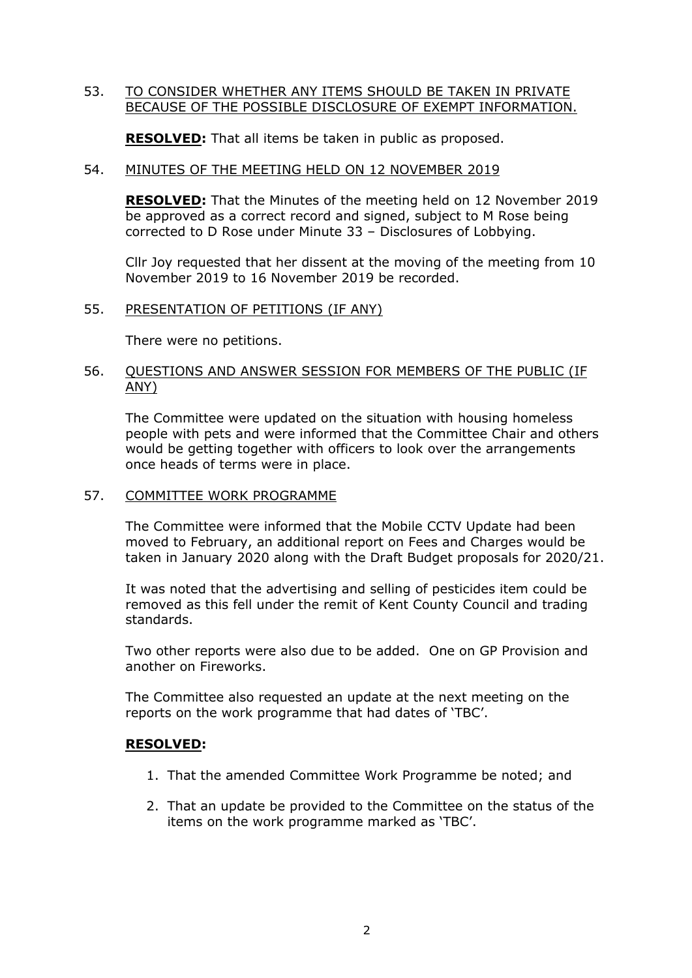### 53. TO CONSIDER WHETHER ANY ITEMS SHOULD BE TAKEN IN PRIVATE BECAUSE OF THE POSSIBLE DISCLOSURE OF EXEMPT INFORMATION.

**RESOLVED:** That all items be taken in public as proposed.

## 54. MINUTES OF THE MEETING HELD ON 12 NOVEMBER 2019

**RESOLVED:** That the Minutes of the meeting held on 12 November 2019 be approved as a correct record and signed, subject to M Rose being corrected to D Rose under Minute 33 – Disclosures of Lobbying.

Cllr Joy requested that her dissent at the moving of the meeting from 10 November 2019 to 16 November 2019 be recorded.

#### 55. PRESENTATION OF PETITIONS (IF ANY)

There were no petitions.

### 56. QUESTIONS AND ANSWER SESSION FOR MEMBERS OF THE PUBLIC (IF ANY)

The Committee were updated on the situation with housing homeless people with pets and were informed that the Committee Chair and others would be getting together with officers to look over the arrangements once heads of terms were in place.

## 57. COMMITTEE WORK PROGRAMME

The Committee were informed that the Mobile CCTV Update had been moved to February, an additional report on Fees and Charges would be taken in January 2020 along with the Draft Budget proposals for 2020/21.

It was noted that the advertising and selling of pesticides item could be removed as this fell under the remit of Kent County Council and trading standards.

Two other reports were also due to be added. One on GP Provision and another on Fireworks.

The Committee also requested an update at the next meeting on the reports on the work programme that had dates of 'TBC'.

#### **RESOLVED:**

- 1. That the amended Committee Work Programme be noted; and
- 2. That an update be provided to the Committee on the status of the items on the work programme marked as 'TBC'.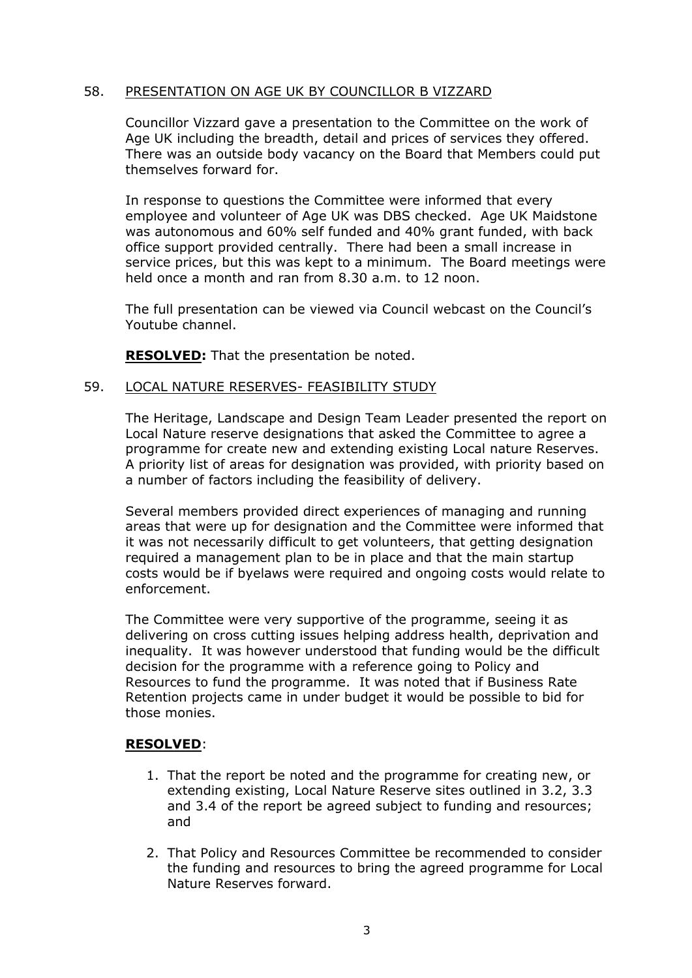## 58. PRESENTATION ON AGE UK BY COUNCILLOR B VIZZARD

Councillor Vizzard gave a presentation to the Committee on the work of Age UK including the breadth, detail and prices of services they offered. There was an outside body vacancy on the Board that Members could put themselves forward for.

In response to questions the Committee were informed that every employee and volunteer of Age UK was DBS checked. Age UK Maidstone was autonomous and 60% self funded and 40% grant funded, with back office support provided centrally. There had been a small increase in service prices, but this was kept to a minimum. The Board meetings were held once a month and ran from 8.30 a.m. to 12 noon.

The full presentation can be viewed via Council webcast on the Council's Youtube channel.

**RESOLVED:** That the presentation be noted.

#### 59. LOCAL NATURE RESERVES- FEASIBILITY STUDY

The Heritage, Landscape and Design Team Leader presented the report on Local Nature reserve designations that asked the Committee to agree a programme for create new and extending existing Local nature Reserves. A priority list of areas for designation was provided, with priority based on a number of factors including the feasibility of delivery.

Several members provided direct experiences of managing and running areas that were up for designation and the Committee were informed that it was not necessarily difficult to get volunteers, that getting designation required a management plan to be in place and that the main startup costs would be if byelaws were required and ongoing costs would relate to enforcement.

The Committee were very supportive of the programme, seeing it as delivering on cross cutting issues helping address health, deprivation and inequality. It was however understood that funding would be the difficult decision for the programme with a reference going to Policy and Resources to fund the programme. It was noted that if Business Rate Retention projects came in under budget it would be possible to bid for those monies.

#### **RESOLVED**:

- 1. That the report be noted and the programme for creating new, or extending existing, Local Nature Reserve sites outlined in 3.2, 3.3 and 3.4 of the report be agreed subject to funding and resources; and
- 2. That Policy and Resources Committee be recommended to consider the funding and resources to bring the agreed programme for Local Nature Reserves forward.